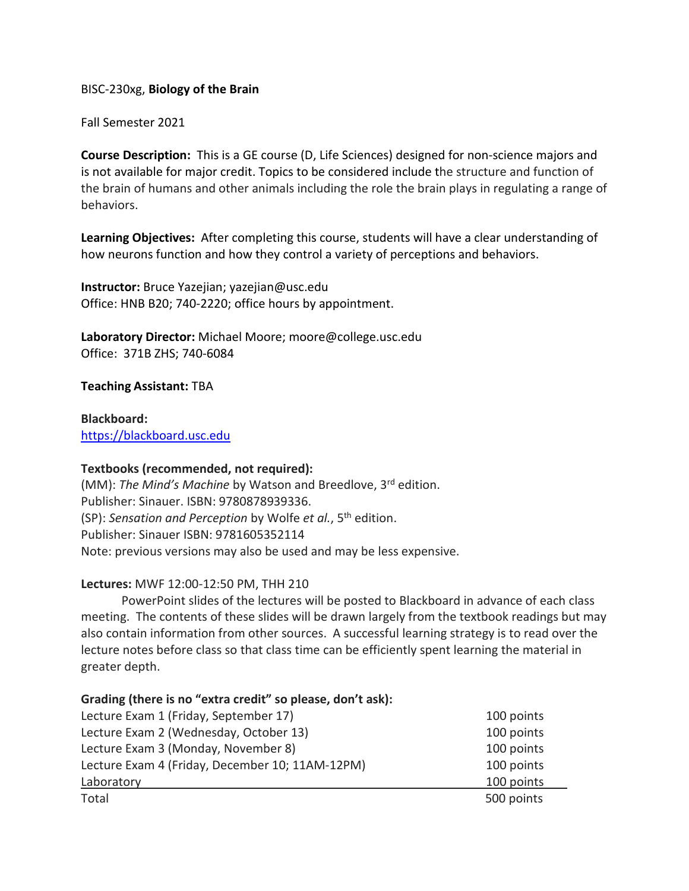# BISC-230xg, **Biology of the Brain**

## Fall Semester 2021

**Course Description:** This is a GE course (D, Life Sciences) designed for non-science majors and is not available for major credit. Topics to be considered include the structure and function of the brain of humans and other animals including the role the brain plays in regulating a range of behaviors.

**Learning Objectives:** After completing this course, students will have a clear understanding of how neurons function and how they control a variety of perceptions and behaviors.

**Instructor:** Bruce Yazejian; yazejian@usc.edu Office: HNB B20; 740-2220; office hours by appointment.

**Laboratory Director:** Michael Moore; moore@college.usc.edu Office: 371B ZHS; 740-6084

## **Teaching Assistant:** TBA

**Blackboard:** [https://blackboard.usc.edu](https://blackboard.usc.edu/)

## **Textbooks (recommended, not required):**

(MM): *The Mind's Machine* by Watson and Breedlove, 3rd edition. Publisher: Sinauer. ISBN: 9780878939336. (SP): *Sensation and Perception* by Wolfe *et al.*, 5th edition. Publisher: Sinauer ISBN: 9781605352114 Note: previous versions may also be used and may be less expensive.

## **Lectures:** MWF 12:00-12:50 PM, THH 210

PowerPoint slides of the lectures will be posted to Blackboard in advance of each class meeting. The contents of these slides will be drawn largely from the textbook readings but may also contain information from other sources. A successful learning strategy is to read over the lecture notes before class so that class time can be efficiently spent learning the material in greater depth.

## **Grading (there is no "extra credit" so please, don't ask):**

| Lecture Exam 1 (Friday, September 17)           | 100 points |
|-------------------------------------------------|------------|
| Lecture Exam 2 (Wednesday, October 13)          | 100 points |
| Lecture Exam 3 (Monday, November 8)             | 100 points |
| Lecture Exam 4 (Friday, December 10; 11AM-12PM) | 100 points |
| Laboratory                                      | 100 points |
| Total                                           | 500 points |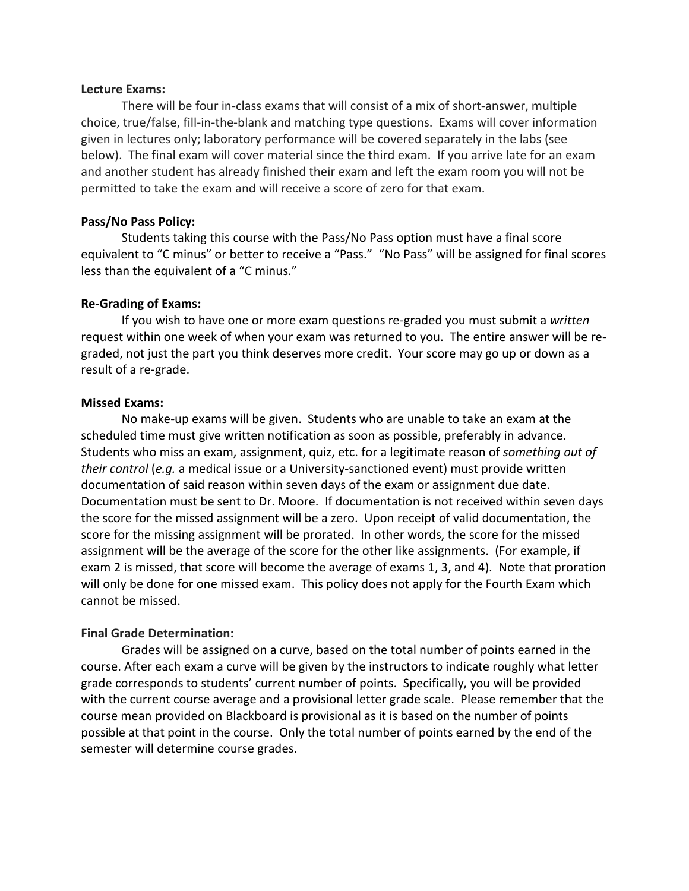#### **Lecture Exams:**

There will be four in-class exams that will consist of a mix of short-answer, multiple choice, true/false, fill-in-the-blank and matching type questions. Exams will cover information given in lectures only; laboratory performance will be covered separately in the labs (see below). The final exam will cover material since the third exam. If you arrive late for an exam and another student has already finished their exam and left the exam room you will not be permitted to take the exam and will receive a score of zero for that exam.

### **Pass/No Pass Policy:**

Students taking this course with the Pass/No Pass option must have a final score equivalent to "C minus" or better to receive a "Pass." "No Pass" will be assigned for final scores less than the equivalent of a "C minus."

## **Re-Grading of Exams:**

If you wish to have one or more exam questions re-graded you must submit a *written* request within one week of when your exam was returned to you. The entire answer will be regraded, not just the part you think deserves more credit. Your score may go up or down as a result of a re-grade.

#### **Missed Exams:**

No make-up exams will be given. Students who are unable to take an exam at the scheduled time must give written notification as soon as possible, preferably in advance. Students who miss an exam, assignment, quiz, etc. for a legitimate reason of *something out of their control* (*e.g.* a medical issue or a University-sanctioned event) must provide written documentation of said reason within seven days of the exam or assignment due date. Documentation must be sent to Dr. Moore. If documentation is not received within seven days the score for the missed assignment will be a zero. Upon receipt of valid documentation, the score for the missing assignment will be prorated. In other words, the score for the missed assignment will be the average of the score for the other like assignments. (For example, if exam 2 is missed, that score will become the average of exams 1, 3, and 4). Note that proration will only be done for one missed exam. This policy does not apply for the Fourth Exam which cannot be missed.

#### **Final Grade Determination:**

Grades will be assigned on a curve, based on the total number of points earned in the course. After each exam a curve will be given by the instructors to indicate roughly what letter grade corresponds to students' current number of points. Specifically, you will be provided with the current course average and a provisional letter grade scale. Please remember that the course mean provided on Blackboard is provisional as it is based on the number of points possible at that point in the course. Only the total number of points earned by the end of the semester will determine course grades.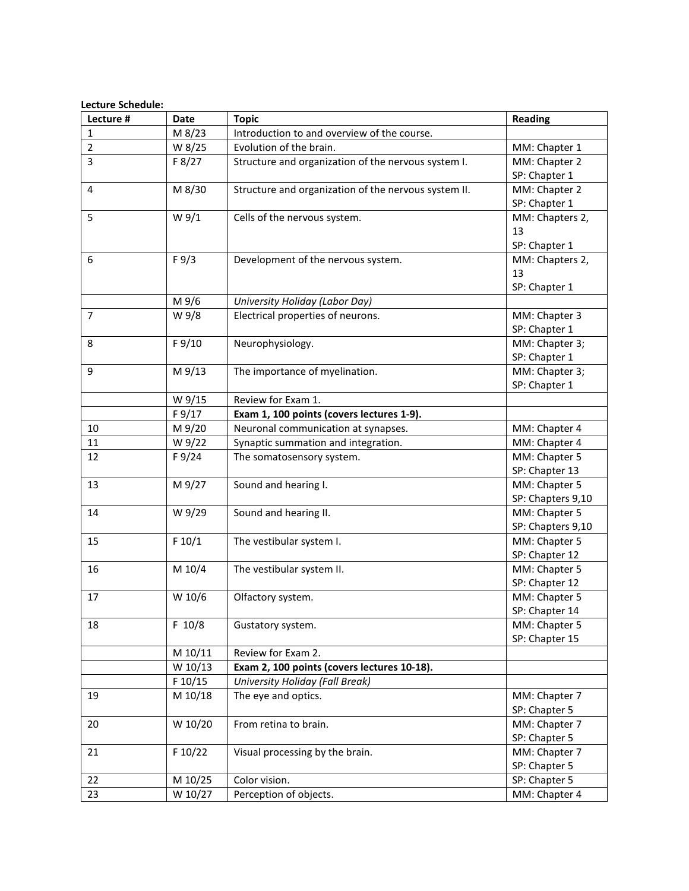#### **Lecture Schedule:**

| Lecture #      | <b>Date</b>      | <b>Topic</b>                                         | <b>Reading</b>                 |
|----------------|------------------|------------------------------------------------------|--------------------------------|
| $\mathbf{1}$   | M 8/23           | Introduction to and overview of the course.          |                                |
| $\overline{2}$ | W 8/25           | Evolution of the brain.                              | MM: Chapter 1                  |
| 3              | F 8/27           | Structure and organization of the nervous system I.  | MM: Chapter 2                  |
|                |                  |                                                      | SP: Chapter 1                  |
| $\overline{4}$ | M 8/30           | Structure and organization of the nervous system II. | MM: Chapter 2                  |
|                |                  |                                                      | SP: Chapter 1                  |
| 5              | W <sub>9/1</sub> | Cells of the nervous system.                         | MM: Chapters 2,                |
|                |                  |                                                      | 13                             |
|                |                  |                                                      | SP: Chapter 1                  |
| 6              | F 9/3            | Development of the nervous system.                   | MM: Chapters 2,                |
|                |                  |                                                      | 13                             |
|                |                  |                                                      | SP: Chapter 1                  |
|                | M 9/6            | University Holiday (Labor Day)                       |                                |
| $\overline{7}$ | W 9/8            | Electrical properties of neurons.                    | MM: Chapter 3                  |
|                |                  |                                                      | SP: Chapter 1                  |
| 8              | F 9/10           | Neurophysiology.                                     | MM: Chapter 3;                 |
|                |                  |                                                      | SP: Chapter 1                  |
| 9              | M 9/13           | The importance of myelination.                       | MM: Chapter 3;                 |
|                |                  |                                                      | SP: Chapter 1                  |
|                | W 9/15           | Review for Exam 1.                                   |                                |
|                | F 9/17           | Exam 1, 100 points (covers lectures 1-9).            |                                |
| 10             | M 9/20           | Neuronal communication at synapses.                  | MM: Chapter 4                  |
| 11             | W 9/22           | Synaptic summation and integration.                  | MM: Chapter 4                  |
| 12             | F 9/24           | The somatosensory system.                            | MM: Chapter 5                  |
|                |                  |                                                      | SP: Chapter 13                 |
| 13             | M 9/27           | Sound and hearing I.                                 | MM: Chapter 5                  |
|                |                  |                                                      | SP: Chapters 9,10              |
| 14             | W 9/29           | Sound and hearing II.                                | MM: Chapter 5                  |
|                |                  |                                                      | SP: Chapters 9,10              |
| 15             | F 10/1           | The vestibular system I.                             | MM: Chapter 5                  |
|                |                  |                                                      | SP: Chapter 12                 |
| 16             | M 10/4           | The vestibular system II.                            | MM: Chapter 5                  |
|                |                  |                                                      | SP: Chapter 12                 |
| 17             | W 10/6           | Olfactory system.                                    | MM: Chapter 5                  |
|                |                  |                                                      | SP: Chapter 14                 |
| 18             | F 10/8           | Gustatory system.                                    | MM: Chapter 5                  |
|                |                  |                                                      | SP: Chapter 15                 |
|                | M 10/11          | Review for Exam 2.                                   |                                |
|                | W 10/13          | Exam 2, 100 points (covers lectures 10-18).          |                                |
|                | F 10/15          | University Holiday (Fall Break)                      |                                |
| 19             | M 10/18          | The eye and optics.                                  | MM: Chapter 7<br>SP: Chapter 5 |
|                |                  |                                                      |                                |
| 20             | W 10/20          | From retina to brain.                                | MM: Chapter 7<br>SP: Chapter 5 |
| 21             | F 10/22          | Visual processing by the brain.                      | MM: Chapter 7                  |
|                |                  |                                                      | SP: Chapter 5                  |
| 22             | M 10/25          | Color vision.                                        | SP: Chapter 5                  |
| 23             |                  |                                                      |                                |
|                | W 10/27          | Perception of objects.                               | MM: Chapter 4                  |